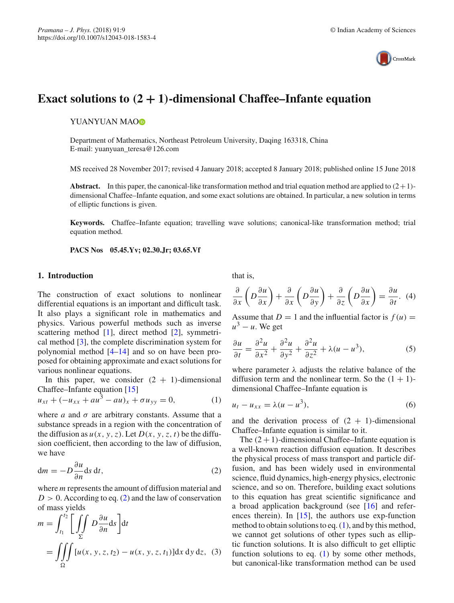

# **Exact solutions to** *(***2 + 1***)***-dimensional Chaffee–Infante equation**

YUANYUAN MA[O](http://orcid.org/0000-0001-5007-6730)**D** 

Department of Mathematics, Northeast Petroleum University, Daqing 163318, China E-mail: yuanyuan\_teresa@126.com

MS received 28 November 2017; revised 4 January 2018; accepted 8 January 2018; published online 15 June 2018

**Abstract.** In this paper, the canonical-like transformation method and trial equation method are applied to  $(2+1)$ dimensional Chaffee–Infante equation, and some exact solutions are obtained. In particular, a new solution in terms of elliptic functions is given.

**Keywords.** Chaffee–Infante equation; travelling wave solutions; canonical-like transformation method; trial equation method.

**PACS Nos 05.45.Yv; 02.30.Jr; 03.65.Vf**

#### **1. Introduction**

The construction of exact solutions to nonlinear differential equations is an important and difficult task. It also plays a significant role in mathematics and physics. Various powerful methods such as inverse scattering method [\[1\]](#page-3-0), direct method [\[2\]](#page-3-1), symmetrical method [\[3\]](#page-3-2), the complete discrimination system for polynomial method [\[4](#page-3-3)[–14](#page-3-4)] and so on have been proposed for obtaining approximate and exact solutions for various nonlinear equations.

In this paper, we consider  $(2 + 1)$ -dimensional Chaffee–Infante equation [\[15](#page-3-5)]

$$
u_{xt} + (-u_{xx} + au^3 - au)_x + \sigma u_{yy} = 0, \tag{1}
$$

where  $a$  and  $\sigma$  are arbitrary constants. Assume that a substance spreads in a region with the concentration of the diffusion as  $u(x, y, z)$ . Let  $D(x, y, z, t)$  be the diffusion coefficient, then according to the law of diffusion, we have

<span id="page-0-0"></span>
$$
dm = -D\frac{\partial u}{\partial n}ds dt,
$$
\t(2)

where *m* represents the amount of diffusion material and  $D > 0$ . According to eq. [\(2\)](#page-0-0) and the law of conservation of mass yields

$$
m = \int_{t_1}^{t_2} \left[ \iint_{\Sigma} D \frac{\partial u}{\partial n} ds \right] dt
$$
  
= 
$$
\iiint_{\Omega} [u(x, y, z, t_2) - u(x, y, z, t_1)] dx dy dz, (3)
$$

that is,

$$
\frac{\partial}{\partial x}\left(D\frac{\partial u}{\partial x}\right) + \frac{\partial}{\partial x}\left(D\frac{\partial u}{\partial y}\right) + \frac{\partial}{\partial z}\left(D\frac{\partial u}{\partial x}\right) = \frac{\partial u}{\partial t}.
$$
 (4)

Assume that  $D = 1$  and the influential factor is  $f(u) =$  $u^3 - u$ . We get

$$
\frac{\partial u}{\partial t} = \frac{\partial^2 u}{\partial x^2} + \frac{\partial^2 u}{\partial y^2} + \frac{\partial^2 u}{\partial z^2} + \lambda (u - u^3),\tag{5}
$$

where parameter  $\lambda$  adjusts the relative balance of the diffusion term and the nonlinear term. So the  $(1 + 1)$ dimensional Chaffee–Infante equation is

<span id="page-0-1"></span>
$$
u_t - u_{xx} = \lambda (u - u^3), \tag{6}
$$

and the derivation process of  $(2 + 1)$ -dimensional Chaffee–Infante equation is similar to it.

The  $(2 + 1)$ -dimensional Chaffee–Infante equation is a well-known reaction diffusion equation. It describes the physical process of mass transport and particle diffusion, and has been widely used in environmental science, fluid dynamics, high-energy physics, electronic science, and so on. Therefore, building exact solutions to this equation has great scientific significance and a broad application background (see [\[16\]](#page-3-6) and references therein). In  $[15]$ , the authors use exp-function method to obtain solutions to eq.  $(1)$ , and by this method, we cannot get solutions of other types such as elliptic function solutions. It is also difficult to get elliptic function solutions to eq.  $(1)$  by some other methods, but canonical-like transformation method can be used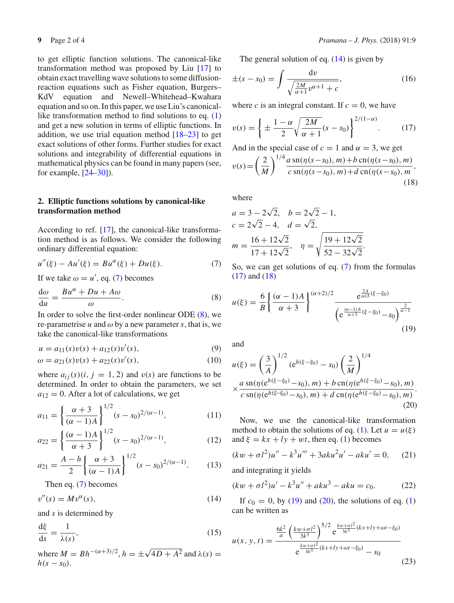to get elliptic function solutions. The canonical-like transformation method was proposed by Liu [\[17](#page-3-7)] to obtain exact travelling wave solutions to some diffusionreaction equations such as Fisher equation, Burgers– KdV equation and Newell–Whitehead–Kwahara equation and so on. In this paper, we use Liu's canonicallike transformation method to find solutions to eq. [\(1\)](#page-0-1) and get a new solution in terms of elliptic functions. In addition, we use trial equation method  $[18-23]$  $[18-23]$  to get exact solutions of other forms. Further studies for exact solutions and integrability of differential equations in mathematical physics can be found in many papers (see, for example, [\[24](#page-3-10)[–30](#page-3-11)]).

# **2. Elliptic functions solutions by canonical-like transformation method**

According to ref. [\[17\]](#page-3-7), the canonical-like transformation method is as follows. We consider the following ordinary differential equation:

$$
u''(\xi) - Au'(\xi) = Bu^{\alpha}(\xi) + Du(\xi).
$$
 (7)

If we take  $\omega = u'$ , eq. [\(7\)](#page-1-0) becomes

$$
\frac{d\omega}{du} = \frac{Bu^{\alpha} + Du + A\omega}{\omega}.
$$
 (8)

In order to solve the first-order nonlinear ODE [\(8\)](#page-1-1), we re-parametrise  $u$  and  $\omega$  by a new parameter  $s$ , that is, we take the canonical-like transformations

$$
u = a_{11}(s)v(s) + a_{12}(s)v'(s),
$$
\n(9)

$$
\omega = a_{21}(s)v(s) + a_{22}(s)v'(s),\tag{10}
$$

where  $a_{ij}(s)(i, j = 1, 2)$  and  $v(s)$  are functions to be determined. In order to obtain the parameters, we set  $a_{12} = 0$ . After a lot of calculations, we get

$$
a_{11} = \left\{ \frac{\alpha + 3}{(\alpha - 1)A} \right\}^{1/2} (s - s_0)^{2/(\alpha - 1)},\tag{11}
$$

$$
a_{22} = \left\{ \frac{(\alpha - 1)A}{\alpha + 3} \right\}^{1/2} (s - s_0)^{2/(\alpha - 1)},\tag{12}
$$

$$
a_{21} = \frac{A - h}{2} \left\{ \frac{\alpha + 3}{(\alpha - 1)A} \right\}^{1/2} (s - s_0)^{2/(\alpha - 1)}.
$$
 (13)

<span id="page-1-2"></span>Then eq. [\(7\)](#page-1-0) becomes

$$
v''(s) = Mv^{\alpha}(s),\tag{14}
$$

and *s* is determined by

$$
\frac{\mathrm{d}\xi}{\mathrm{d}s} = \frac{1}{\lambda(s)},\tag{15}
$$

where  $M = Bh^{-(\alpha+3)/2}$ ,  $h = \pm \sqrt{4D + A^2}$  and  $\lambda(s) =$  $h(s - s_0)$ .

<span id="page-1-3"></span>(18)

The general solution of eq.  $(14)$  is given by

$$
\pm(s - s_0) = \int \frac{dv}{\sqrt{\frac{2M}{\alpha + 1}v^{\alpha + 1} + c}},
$$
\n(16)

where *c* is an integral constant. If  $c = 0$ , we have

$$
v(s) = \left\{ \pm \frac{1 - \alpha}{2} \sqrt{\frac{2M}{\alpha + 1}} (s - s_0) \right\}^{2/(1 - \alpha)}.
$$
 (17)

<span id="page-1-4"></span>And in the special case of  $c = 1$  and  $\alpha = 3$ , we get  $v(s) = \left(\frac{2}{\lambda}\right)$ *M*  $\int$ <sup>1/4</sup>  $\frac{a \sin(\eta(s-s_0), m) + b \sin(\eta(s-s_0), m)}{c \sin(\eta(s-s_0), m) + d \sin(\eta(s-s_0), m)}$ 

where

$$
a = 3 - 2\sqrt{2}, \quad b = 2\sqrt{2} - 1,
$$
  
\n
$$
c = 2\sqrt{2} - 4, \quad d = \sqrt{2},
$$
  
\n
$$
m = \frac{16 + 12\sqrt{2}}{17 + 12\sqrt{2}}, \quad \eta = \sqrt{\frac{19 + 12\sqrt{2}}{52 - 32\sqrt{2}}}.
$$

<span id="page-1-5"></span><span id="page-1-1"></span><span id="page-1-0"></span>So, we can get solutions of eq. [\(7\)](#page-1-0) from the formulas [\(17\)](#page-1-3) and [\(18\)](#page-1-4)

$$
u(\xi) = \frac{6}{B} \left\{ \frac{(\alpha - 1)A}{\alpha + 3} \right\}^{(\alpha + 2)/2} \frac{e^{\frac{2A}{\alpha + 3}(\xi - \xi_0)}}{\left(e^{\frac{(\alpha - 1)A}{\alpha + 3}(\xi - \xi_0)} - s_0\right)^{\frac{2}{\alpha - 1}}} \tag{19}
$$

and

<span id="page-1-6"></span>
$$
u(\xi) = \left(\frac{3}{A}\right)^{1/2} (e^{h(\xi - \xi_0)} - s_0) \left(\frac{2}{M}\right)^{1/4}
$$
  
 
$$
\times \frac{a \operatorname{sn}(\eta(e^{h(\xi - \xi_0)} - s_0), m) + b \operatorname{cn}(\eta(e^{h(\xi - \xi_0)} - s_0), m)}{c \operatorname{sn}(\eta(e^{h(\xi - \xi_0)} - s_0), m) + d \operatorname{cn}(\eta(e^{h(\xi - \xi_0)} - s_0), m)}.
$$
(20)

Now, we use the canonical-like transformation method to obtain the solutions of eq. [\(1\)](#page-0-1). Let  $u = u(\xi)$ and  $\xi = kx + ly + wt$ , then eq. [\(1\)](#page-0-1) becomes

$$
(kw + \sigma l^2)u'' - k^3u''' + 3aku^2u' - aku' = 0, \quad (21)
$$

<span id="page-1-7"></span>and integrating it yields

$$
(kw + \sigma l^2)u' - k^3u'' + aku^3 - aku = c_0.
$$
 (22)

If  $c_0 = 0$ , by [\(19\)](#page-1-5) and [\(20\)](#page-1-6), the solutions of eq. [\(1\)](#page-0-1) can be written as

$$
u(x, y, t) = \frac{\frac{6k^2}{a} \left(\frac{kw + \sigma l^2}{3k^3}\right)^{5/2} e^{\frac{kw + \sigma l^2}{3k^3} (kx + ly + \omega t - \xi_0)}{e^{\frac{kw + \sigma l^2}{3k^3} (kx + ly + \omega t - \xi_0)} - s_0}
$$
(23)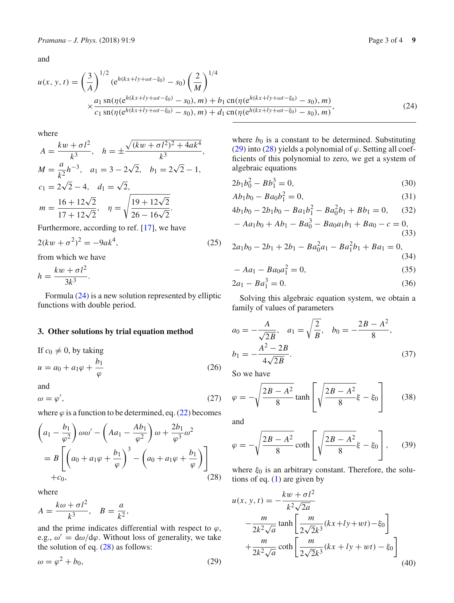and

<span id="page-2-0"></span>
$$
u(x, y, t) = \left(\frac{3}{A}\right)^{1/2} (e^{h(kx+ly+\omega t-\xi_0)} - s_0) \left(\frac{2}{M}\right)^{1/4}
$$
  
 
$$
\times \frac{a_1 \operatorname{sn}(\eta(e^{h(kx+ly+\omega t-\xi_0)} - s_0), m) + b_1 \operatorname{cn}(\eta(e^{h(kx+ly+\omega t-\xi_0)} - s_0), m)}{c_1 \operatorname{sn}(\eta(e^{h(kx+ly+\omega t-\xi_0)} - s_0), m) + d_1 \operatorname{cn}(\eta(e^{h(kx+ly+\omega t-\xi_0)} - s_0), m)},
$$
 (24)

where

$$
A = \frac{kw + \sigma l^2}{k^3}, \quad h = \pm \frac{\sqrt{(kw + \sigma l^2)^2 + 4ak^4}}{k^3},
$$
  
\n
$$
M = \frac{a}{k^2}h^{-3}, \quad a_1 = 3 - 2\sqrt{2}, \quad b_1 = 2\sqrt{2} - 1,
$$
  
\n
$$
c_1 = 2\sqrt{2} - 4, \quad d_1 = \sqrt{2},
$$
  
\n
$$
m = \frac{16 + 12\sqrt{2}}{17 + 12\sqrt{2}}, \quad \eta = \sqrt{\frac{19 + 12\sqrt{2}}{26 - 16\sqrt{2}}}.
$$

Furthermore, according to ref. [\[17](#page-3-7)], we have

$$
2(kw + \sigma^2)^2 = -9ak^4,
$$
 (25)

from which we have

$$
h = \frac{kw + \sigma l^2}{3k^3}.
$$

Formula [\(24\)](#page-2-0) is a new solution represented by elliptic functions with double period.

#### **3. Other solutions by trial equation method**

If  $c_0 \neq 0$ , by taking  $u = a_0 + a_1 \varphi + \frac{b_1}{a_0}$ ϕ (26)

and

$$
\omega = \varphi',\tag{27}
$$

where  $\varphi$  is a function to be determined, eq. [\(22\)](#page-1-7) becomes

<span id="page-2-1"></span>
$$
\left(a_1 - \frac{b_1}{\varphi^2}\right)\omega\omega' - \left(Aa_1 - \frac{Ab_1}{\varphi^2}\right)\omega + \frac{2b_1}{\varphi^3}\omega^2
$$
  
= 
$$
B\left[\left(a_0 + a_1\varphi + \frac{b_1}{\varphi}\right)^3 - \left(a_0 + a_1\varphi + \frac{b_1}{\varphi}\right)\right]
$$
  
+
$$
c_0,
$$
 (28)

where

$$
A = \frac{k\omega + \sigma l^2}{k^3}, \quad B = \frac{a}{k^2},
$$

and the prime indicates differential with respect to  $\varphi$ , e.g.,  $\omega' = d\omega/d\varphi$ . Without loss of generality, we take the solution of eq. [\(28\)](#page-2-1) as follows:

$$
\omega = \varphi^2 + b_0,\tag{29}
$$

where  $b_0$  is a constant to be determined. Substituting [\(29\)](#page-2-2) into [\(28\)](#page-2-1) yields a polynomial of  $\varphi$ . Setting all coefficients of this polynomial to zero, we get a system of algebraic equations

$$
2b_1b_0^2 - Bb_1^3 = 0,\t\t(30)
$$

$$
Ab_1b_0 - Ba_0b_1^2 = 0,\t\t(31)
$$

$$
4b_1b_0 - 2b_1b_0 - Ba_1b_1^2 - Ba_0^2b_1 + Bb_1 = 0, \quad (32)
$$

$$
- Aa_1b_0 + Ab_1 - Ba_0^3 - Ba_0a_1b_1 + Ba_0 - c = 0,
$$
\n(33)

$$
2a_1b_0 - 2b_1 + 2b_1 - Ba_0^2a_1 - Ba_1^2b_1 + Ba_1 = 0,
$$
\n(34)

$$
- Aa_1 - Ba_0a_1^2 = 0,
$$
\n(35)

$$
2a_1 - Ba_1^3 = 0.\t(36)
$$

Solving this algebraic equation system, we obtain a family of values of parameters

$$
a_0 = -\frac{A}{\sqrt{2B}}, \quad a_1 = \sqrt{\frac{2}{B}}, \quad b_0 = -\frac{2B - A^2}{8},
$$
  

$$
b_1 = -\frac{A^2 - 2B}{4\sqrt{2B}}.
$$
 (37)

So we have

$$
\varphi = -\sqrt{\frac{2B - A^2}{8}} \tanh\left[\sqrt{\frac{2B - A^2}{8}}\xi - \xi_0\right]
$$
 (38)

and

$$
\varphi = -\sqrt{\frac{2B - A^2}{8}} \coth\left[\sqrt{\frac{2B - A^2}{8}}\xi - \xi_0\right],\qquad(39)
$$

where  $\xi_0$  is an arbitrary constant. Therefore, the solutions of eq. [\(1\)](#page-0-1) are given by

<span id="page-2-3"></span><span id="page-2-2"></span>
$$
u(x, y, t) = -\frac{kw + \sigma l^2}{k^2 \sqrt{2a}}
$$
  

$$
-\frac{m}{2k^2 \sqrt{a}} \tanh\left[\frac{m}{2\sqrt{2}k^3}(kx + ly + wt) - \xi_0\right]
$$
  

$$
+\frac{m}{2k^2 \sqrt{a}} \coth\left[\frac{m}{2\sqrt{2}k^3}(kx + ly + wt) - \xi_0\right]
$$
(40)